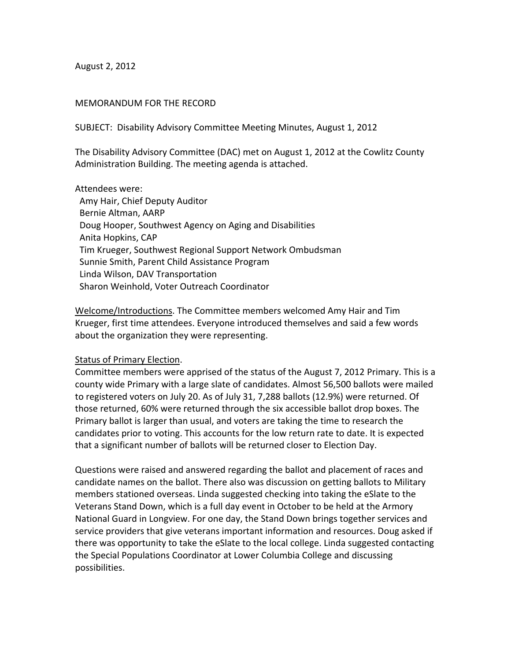August 2, 2012

### MEMORANDUM FOR THE RECORD

SUBJECT: Disability Advisory Committee Meeting Minutes, August 1, 2012

The Disability Advisory Committee (DAC) met on August 1, 2012 at the Cowlitz County Administration Building. The meeting agenda is attached.

Attendees were:

 Amy Hair, Chief Deputy Auditor Bernie Altman, AARP Doug Hooper, Southwest Agency on Aging and Disabilities Anita Hopkins, CAP Tim Krueger, Southwest Regional Support Network Ombudsman Sunnie Smith, Parent Child Assistance Program Linda Wilson, DAV Transportation Sharon Weinhold, Voter Outreach Coordinator

Welcome/Introductions. The Committee members welcomed Amy Hair and Tim Krueger, first time attendees. Everyone introduced themselves and said a few words about the organization they were representing.

#### Status of Primary Election.

Committee members were apprised of the status of the August 7, 2012 Primary. This is a county wide Primary with a large slate of candidates. Almost 56,500 ballots were mailed to registered voters on July 20. As of July 31, 7,288 ballots (12.9%) were returned. Of those returned, 60% were returned through the six accessible ballot drop boxes. The Primary ballot is larger than usual, and voters are taking the time to research the candidates prior to voting. This accounts for the low return rate to date. It is expected that a significant number of ballots will be returned closer to Election Day.

Questions were raised and answered regarding the ballot and placement of races and candidate names on the ballot. There also was discussion on getting ballots to Military members stationed overseas. Linda suggested checking into taking the eSlate to the Veterans Stand Down, which is a full day event in October to be held at the Armory National Guard in Longview. For one day, the Stand Down brings together services and service providers that give veterans important information and resources. Doug asked if there was opportunity to take the eSlate to the local college. Linda suggested contacting the Special Populations Coordinator at Lower Columbia College and discussing possibilities.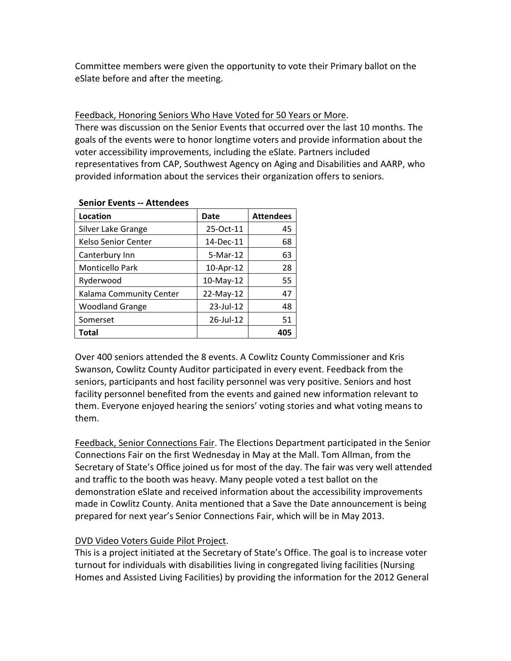Committee members were given the opportunity to vote their Primary ballot on the eSlate before and after the meeting.

# Feedback, Honoring Seniors Who Have Voted for 50 Years or More.

There was discussion on the Senior Events that occurred over the last 10 months. The goals of the events were to honor longtime voters and provide information about the voter accessibility improvements, including the eSlate. Partners included representatives from CAP, Southwest Agency on Aging and Disabilities and AARP, who provided information about the services their organization offers to seniors.

| Location                | Date      | <b>Attendees</b> |
|-------------------------|-----------|------------------|
| Silver Lake Grange      | 25-Oct-11 | 45               |
| Kelso Senior Center     | 14-Dec-11 | 68               |
| Canterbury Inn          | 5-Mar-12  | 63               |
| <b>Monticello Park</b>  | 10-Apr-12 | 28               |
| Ryderwood               | 10-May-12 | 55               |
| Kalama Community Center | 22-May-12 | 47               |
| <b>Woodland Grange</b>  | 23-Jul-12 | 48               |
| Somerset                | 26-Jul-12 | 51               |
| Total                   |           | 405              |

## **Senior Events ‐‐ Attendees**

Over 400 seniors attended the 8 events. A Cowlitz County Commissioner and Kris Swanson, Cowlitz County Auditor participated in every event. Feedback from the seniors, participants and host facility personnel was very positive. Seniors and host facility personnel benefited from the events and gained new information relevant to them. Everyone enjoyed hearing the seniors' voting stories and what voting means to them.

Feedback, Senior Connections Fair. The Elections Department participated in the Senior Connections Fair on the first Wednesday in May at the Mall. Tom Allman, from the Secretary of State's Office joined us for most of the day. The fair was very well attended and traffic to the booth was heavy. Many people voted a test ballot on the demonstration eSlate and received information about the accessibility improvements made in Cowlitz County. Anita mentioned that a Save the Date announcement is being prepared for next year's Senior Connections Fair, which will be in May 2013.

# DVD Video Voters Guide Pilot Project.

This is a project initiated at the Secretary of State's Office. The goal is to increase voter turnout for individuals with disabilities living in congregated living facilities (Nursing Homes and Assisted Living Facilities) by providing the information for the 2012 General